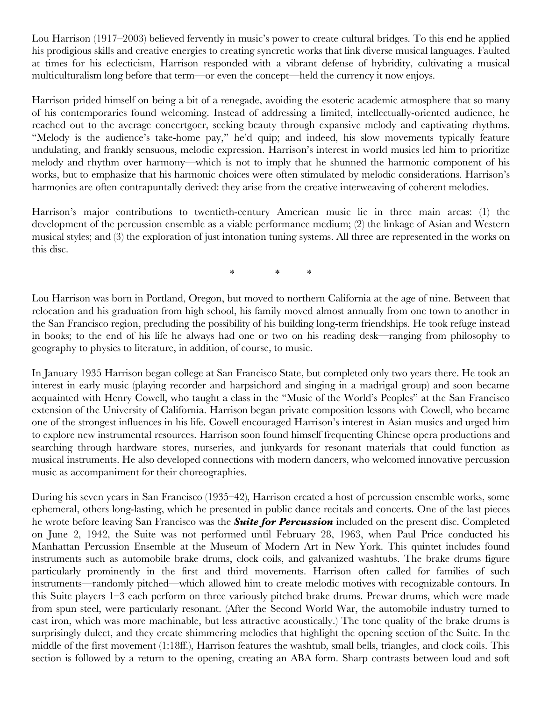Lou Harrison (1917–2003) believed fervently in music's power to create cultural bridges. To this end he applied his prodigious skills and creative energies to creating syncretic works that link diverse musical languages. Faulted at times for his eclecticism, Harrison responded with a vibrant defense of hybridity, cultivating a musical multiculturalism long before that term—or even the concept—held the currency it now enjoys.

Harrison prided himself on being a bit of a renegade, avoiding the esoteric academic atmosphere that so many of his contemporaries found welcoming. Instead of addressing a limited, intellectually-oriented audience, he reached out to the average concertgoer, seeking beauty through expansive melody and captivating rhythms. "Melody is the audience's take-home pay," he'd quip; and indeed, his slow movements typically feature undulating, and frankly sensuous, melodic expression. Harrison's interest in world musics led him to prioritize melody and rhythm over harmony—which is not to imply that he shunned the harmonic component of his works, but to emphasize that his harmonic choices were often stimulated by melodic considerations. Harrison's harmonies are often contrapuntally derived: they arise from the creative interweaving of coherent melodies.

Harrison's major contributions to twentieth-century American music lie in three main areas: (1) the development of the percussion ensemble as a viable performance medium; (2) the linkage of Asian and Western musical styles; and (3) the exploration of just intonation tuning systems. All three are represented in the works on this disc.

\* \* \*

Lou Harrison was born in Portland, Oregon, but moved to northern California at the age of nine. Between that relocation and his graduation from high school, his family moved almost annually from one town to another in the San Francisco region, precluding the possibility of his building long-term friendships. He took refuge instead in books; to the end of his life he always had one or two on his reading desk—ranging from philosophy to geography to physics to literature, in addition, of course, to music.

In January 1935 Harrison began college at San Francisco State, but completed only two years there. He took an interest in early music (playing recorder and harpsichord and singing in a madrigal group) and soon became acquainted with Henry Cowell, who taught a class in the "Music of the World's Peoples" at the San Francisco extension of the University of California. Harrison began private composition lessons with Cowell, who became one of the strongest influences in his life. Cowell encouraged Harrison's interest in Asian musics and urged him to explore new instrumental resources. Harrison soon found himself frequenting Chinese opera productions and searching through hardware stores, nurseries, and junkyards for resonant materials that could function as musical instruments. He also developed connections with modern dancers, who welcomed innovative percussion music as accompaniment for their choreographies.

During his seven years in San Francisco (1935–42), Harrison created a host of percussion ensemble works, some ephemeral, others long-lasting, which he presented in public dance recitals and concerts. One of the last pieces he wrote before leaving San Francisco was the *Suite for Percussion* included on the present disc. Completed on June 2, 1942, the Suite was not performed until February 28, 1963, when Paul Price conducted his Manhattan Percussion Ensemble at the Museum of Modern Art in New York. This quintet includes found instruments such as automobile brake drums, clock coils, and galvanized washtubs. The brake drums figure particularly prominently in the first and third movements. Harrison often called for families of such instruments—randomly pitched—which allowed him to create melodic motives with recognizable contours. In this Suite players 1–3 each perform on three variously pitched brake drums. Prewar drums, which were made from spun steel, were particularly resonant. (After the Second World War, the automobile industry turned to cast iron, which was more machinable, but less attractive acoustically.) The tone quality of the brake drums is surprisingly dulcet, and they create shimmering melodies that highlight the opening section of the Suite. In the middle of the first movement (1:18ff.), Harrison features the washtub, small bells, triangles, and clock coils. This section is followed by a return to the opening, creating an ABA form. Sharp contrasts between loud and soft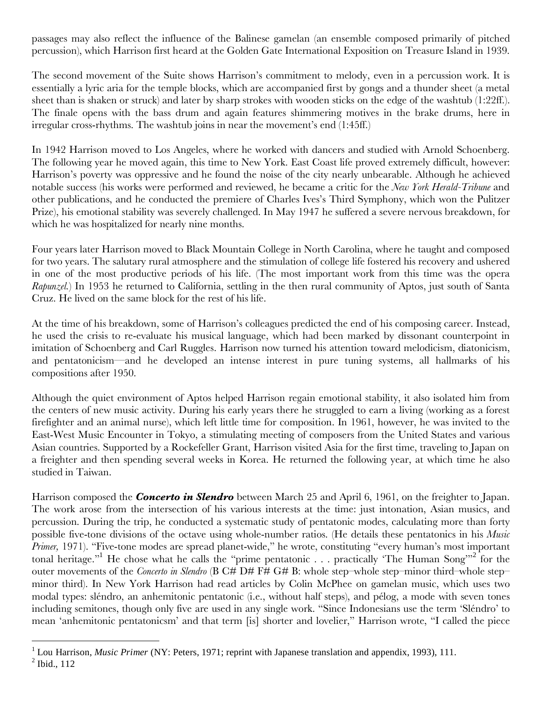passages may also reflect the influence of the Balinese gamelan (an ensemble composed primarily of pitched percussion), which Harrison first heard at the Golden Gate International Exposition on Treasure Island in 1939.

The second movement of the Suite shows Harrison's commitment to melody, even in a percussion work. It is essentially a lyric aria for the temple blocks, which are accompanied first by gongs and a thunder sheet (a metal sheet than is shaken or struck) and later by sharp strokes with wooden sticks on the edge of the washtub (1:22ff.). The finale opens with the bass drum and again features shimmering motives in the brake drums, here in irregular cross-rhythms. The washtub joins in near the movement's end (1:45ff.)

In 1942 Harrison moved to Los Angeles, where he worked with dancers and studied with Arnold Schoenberg. The following year he moved again, this time to New York. East Coast life proved extremely difficult, however: Harrison's poverty was oppressive and he found the noise of the city nearly unbearable. Although he achieved notable success (his works were performed and reviewed, he became a critic for the *New York Herald-Tribune* and other publications, and he conducted the premiere of Charles Ives's Third Symphony, which won the Pulitzer Prize), his emotional stability was severely challenged. In May 1947 he suffered a severe nervous breakdown, for which he was hospitalized for nearly nine months.

Four years later Harrison moved to Black Mountain College in North Carolina, where he taught and composed for two years. The salutary rural atmosphere and the stimulation of college life fostered his recovery and ushered in one of the most productive periods of his life. (The most important work from this time was the opera *Rapunzel.*) In 1953 he returned to California, settling in the then rural community of Aptos, just south of Santa Cruz. He lived on the same block for the rest of his life.

At the time of his breakdown, some of Harrison's colleagues predicted the end of his composing career. Instead, he used the crisis to re-evaluate his musical language, which had been marked by dissonant counterpoint in imitation of Schoenberg and Carl Ruggles. Harrison now turned his attention toward melodicism, diatonicism, and pentatonicism—and he developed an intense interest in pure tuning systems, all hallmarks of his compositions after 1950.

Although the quiet environment of Aptos helped Harrison regain emotional stability, it also isolated him from the centers of new music activity. During his early years there he struggled to earn a living (working as a forest firefighter and an animal nurse), which left little time for composition. In 1961, however, he was invited to the East-West Music Encounter in Tokyo, a stimulating meeting of composers from the United States and various Asian countries. Supported by a Rockefeller Grant, Harrison visited Asia for the first time, traveling to Japan on a freighter and then spending several weeks in Korea. He returned the following year, at which time he also studied in Taiwan.

Harrison composed the *Concerto in Slendro* between March 25 and April 6, 1961, on the freighter to Japan. The work arose from the intersection of his various interests at the time: just intonation, Asian musics, and percussion. During the trip, he conducted a systematic study of pentatonic modes, calculating more than forty possible five-tone divisions of the octave using whole-number ratios. (He details these pentatonics in his *Music Primer*, 1971). "Five-tone modes are spread planet-wide," he wrote, constituting "every human's most important tonal heritage."<sup>1</sup> He chose what he calls the "prime pentatonic . . . practically 'The Human Song'"<sup>2</sup> for the outer movements of the *Concerto in Slendro* (B C# D# F# G# B: whole step–whole step–minor third–whole step– minor third). In New York Harrison had read articles by Colin McPhee on gamelan music, which uses two modal types: sléndro, an anhemitonic pentatonic (i.e., without half steps), and pélog, a mode with seven tones including semitones, though only five are used in any single work. "Since Indonesians use the term 'Sléndro' to mean 'anhemitonic pentatonicsm' and that term [is] shorter and lovelier," Harrison wrote, "I called the piece

 $\overline{a}$ 

<sup>&</sup>lt;sup>1</sup> Lou Harrison, *Music Primer* (NY: Peters, 1971; reprint with Japanese translation and appendix, 1993), 111.

 $<sup>2</sup>$  Ibid., 112</sup>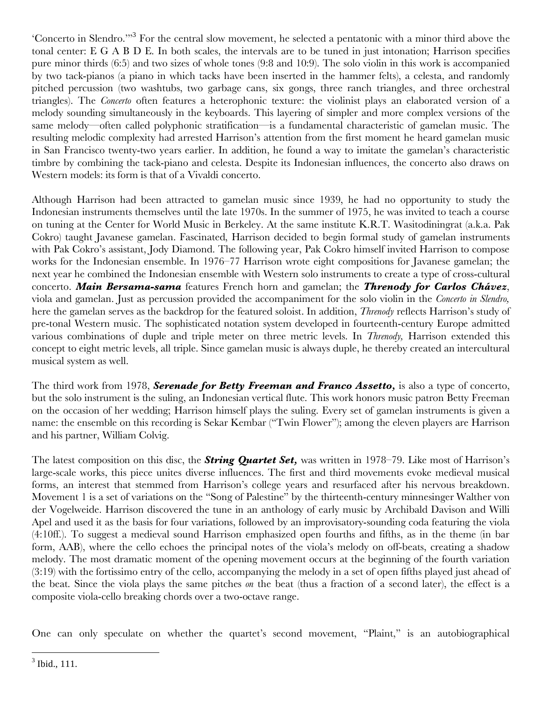'Concerto in Slendro.'"<sup>3</sup> For the central slow movement, he selected a pentatonic with a minor third above the tonal center: E G A B D E. In both scales, the intervals are to be tuned in just intonation; Harrison specifies pure minor thirds (6:5) and two sizes of whole tones (9:8 and 10:9). The solo violin in this work is accompanied by two tack-pianos (a piano in which tacks have been inserted in the hammer felts), a celesta, and randomly pitched percussion (two washtubs, two garbage cans, six gongs, three ranch triangles, and three orchestral triangles). The *Concerto* often features a heterophonic texture: the violinist plays an elaborated version of a melody sounding simultaneously in the keyboards. This layering of simpler and more complex versions of the same melody—often called polyphonic stratification—is a fundamental characteristic of gamelan music. The resulting melodic complexity had arrested Harrison's attention from the first moment he heard gamelan music in San Francisco twenty-two years earlier. In addition, he found a way to imitate the gamelan's characteristic timbre by combining the tack-piano and celesta. Despite its Indonesian influences, the concerto also draws on Western models: its form is that of a Vivaldi concerto.

Although Harrison had been attracted to gamelan music since 1939, he had no opportunity to study the Indonesian instruments themselves until the late 1970s. In the summer of 1975, he was invited to teach a course on tuning at the Center for World Music in Berkeley. At the same institute K.R.T. Wasitodiningrat (a.k.a. Pak Cokro) taught Javanese gamelan. Fascinated, Harrison decided to begin formal study of gamelan instruments with Pak Cokro's assistant, Jody Diamond. The following year, Pak Cokro himself invited Harrison to compose works for the Indonesian ensemble. In 1976–77 Harrison wrote eight compositions for Javanese gamelan; the next year he combined the Indonesian ensemble with Western solo instruments to create a type of cross-cultural concerto. *Main Bersama-sama* features French horn and gamelan; the *Threnody for Carlos Chávez*, viola and gamelan. Just as percussion provided the accompaniment for the solo violin in the *Concerto in Slendro,* here the gamelan serves as the backdrop for the featured soloist. In addition, *Threnody* reflects Harrison's study of pre-tonal Western music. The sophisticated notation system developed in fourteenth-century Europe admitted various combinations of duple and triple meter on three metric levels. In *Threnody,* Harrison extended this concept to eight metric levels, all triple. Since gamelan music is always duple, he thereby created an intercultural musical system as well.

The third work from 1978, *Serenade for Betty Freeman and Franco Assetto,* is also a type of concerto, but the solo instrument is the suling, an Indonesian vertical flute. This work honors music patron Betty Freeman on the occasion of her wedding; Harrison himself plays the suling. Every set of gamelan instruments is given a name: the ensemble on this recording is Sekar Kembar ("Twin Flower"); among the eleven players are Harrison and his partner, William Colvig.

The latest composition on this disc, the *String Quartet Set,* was written in 1978–79. Like most of Harrison's large-scale works, this piece unites diverse influences. The first and third movements evoke medieval musical forms, an interest that stemmed from Harrison's college years and resurfaced after his nervous breakdown. Movement 1 is a set of variations on the "Song of Palestine" by the thirteenth-century minnesinger Walther von der Vogelweide. Harrison discovered the tune in an anthology of early music by Archibald Davison and Willi Apel and used it as the basis for four variations, followed by an improvisatory-sounding coda featuring the viola (4:10ff.). To suggest a medieval sound Harrison emphasized open fourths and fifths, as in the theme (in bar form, AAB), where the cello echoes the principal notes of the viola's melody on off-beats, creating a shadow melody. The most dramatic moment of the opening movement occurs at the beginning of the fourth variation (3:19) with the fortissimo entry of the cello, accompanying the melody in a set of open fifths played just ahead of the beat. Since the viola plays the same pitches *on* the beat (thus a fraction of a second later), the effect is a composite viola-cello breaking chords over a two-octave range.

One can only speculate on whether the quartet's second movement, "Plaint," is an autobiographical

1

 $3$  Ibid., 111.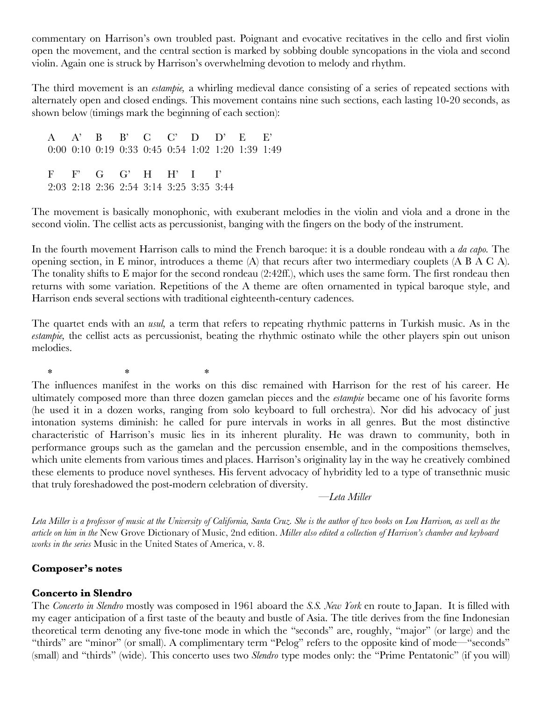commentary on Harrison's own troubled past. Poignant and evocative recitatives in the cello and first violin open the movement, and the central section is marked by sobbing double syncopations in the viola and second violin. Again one is struck by Harrison's overwhelming devotion to melody and rhythm.

The third movement is an *estampie,* a whirling medieval dance consisting of a series of repeated sections with alternately open and closed endings. This movement contains nine such sections, each lasting 10-20 seconds, as shown below (timings mark the beginning of each section):

 A A' B B' C C' D D' E E' 0:00 0:10 0:19 0:33 0:45 0:54 1:02 1:20 1:39 1:49 F F' G G' H H' I I' 2:03 2:18 2:36 2:54 3:14 3:25 3:35 3:44

The movement is basically monophonic, with exuberant melodies in the violin and viola and a drone in the second violin. The cellist acts as percussionist, banging with the fingers on the body of the instrument.

In the fourth movement Harrison calls to mind the French baroque: it is a double rondeau with a *da capo.* The opening section, in E minor, introduces a theme (A) that recurs after two intermediary couplets (A B A C A). The tonality shifts to E major for the second rondeau (2:42ff.), which uses the same form. The first rondeau then returns with some variation. Repetitions of the A theme are often ornamented in typical baroque style, and Harrison ends several sections with traditional eighteenth-century cadences.

The quartet ends with an *usul,* a term that refers to repeating rhythmic patterns in Turkish music. As in the *estampie,* the cellist acts as percussionist, beating the rhythmic ostinato while the other players spin out unison melodies.

 $*$  \* \* \*

The influences manifest in the works on this disc remained with Harrison for the rest of his career. He ultimately composed more than three dozen gamelan pieces and the *estampie* became one of his favorite forms (he used it in a dozen works, ranging from solo keyboard to full orchestra). Nor did his advocacy of just intonation systems diminish: he called for pure intervals in works in all genres. But the most distinctive characteristic of Harrison's music lies in its inherent plurality. He was drawn to community, both in performance groups such as the gamelan and the percussion ensemble, and in the compositions themselves, which unite elements from various times and places. Harrison's originality lay in the way he creatively combined these elements to produce novel syntheses. His fervent advocacy of hybridity led to a type of transethnic music that truly foreshadowed the post-modern celebration of diversity.

—*Leta Miller*

*Leta Miller is a professor of music at the University of California, Santa Cruz. She is the author of two books on Lou Harrison, as well as the article on him in the* New Grove Dictionary of Music, 2nd edition. *Miller also edited a collection of Harrison's chamber and keyboard works in the series* Music in the United States of America, v. 8.

### **Composer's notes**

#### **Concerto in Slendro**

The *Concerto in Slendro* mostly was composed in 1961 aboard the *S.S. New York* en route to Japan. It is filled with my eager anticipation of a first taste of the beauty and bustle of Asia. The title derives from the fine Indonesian theoretical term denoting any five-tone mode in which the "seconds" are, roughly, "major" (or large) and the "thirds" are "minor" (or small). A complimentary term "Pelog" refers to the opposite kind of mode—"seconds" (small) and "thirds" (wide). This concerto uses two *Slendro* type modes only: the "Prime Pentatonic" (if you will)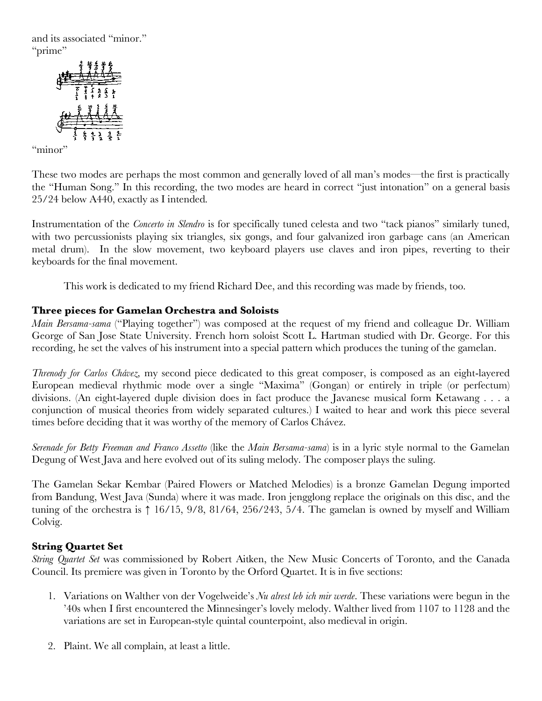and its associated "minor." "prime"



"minor"

These two modes are perhaps the most common and generally loved of all man's modes—the first is practically the "Human Song." In this recording, the two modes are heard in correct "just intonation" on a general basis 25/24 below A440, exactly as I intended.

Instrumentation of the *Concerto in Slendro* is for specifically tuned celesta and two "tack pianos" similarly tuned, with two percussionists playing six triangles, six gongs, and four galvanized iron garbage cans (an American metal drum). In the slow movement, two keyboard players use claves and iron pipes, reverting to their keyboards for the final movement.

This work is dedicated to my friend Richard Dee, and this recording was made by friends, too.

# **Three pieces for Gamelan Orchestra and Soloists**

*Main Bersama-sama* ("Playing together") was composed at the request of my friend and colleague Dr. William George of San Jose State University. French horn soloist Scott L. Hartman studied with Dr. George. For this recording, he set the valves of his instrument into a special pattern which produces the tuning of the gamelan.

*Threnody for Carlos Chávez,* my second piece dedicated to this great composer, is composed as an eight-layered European medieval rhythmic mode over a single "Maxima" (Gongan) or entirely in triple (or perfectum) divisions. (An eight-layered duple division does in fact produce the Javanese musical form Ketawang . . . a conjunction of musical theories from widely separated cultures.) I waited to hear and work this piece several times before deciding that it was worthy of the memory of Carlos Chávez.

*Serenade for Betty Freeman and Franco Assetto* (like the *Main Bersama-sama*) is in a lyric style normal to the Gamelan Degung of West Java and here evolved out of its suling melody. The composer plays the suling.

The Gamelan Sekar Kembar (Paired Flowers or Matched Melodies) is a bronze Gamelan Degung imported from Bandung, West Java (Sunda) where it was made. Iron jengglong replace the originals on this disc, and the tuning of the orchestra is  $\uparrow$  16/15, 9/8, 81/64, 256/243, 5/4. The gamelan is owned by myself and William Colvig.

# **String Quartet Set**

*String Quartet Set* was commissioned by Robert Aitken, the New Music Concerts of Toronto, and the Canada Council. Its premiere was given in Toronto by the Orford Quartet. It is in five sections:

- 1. Variations on Walther von der Vogelweide's *Nu alrest leb ich mir werde*. These variations were begun in the '40s when I first encountered the Minnesinger's lovely melody. Walther lived from 1107 to 1128 and the variations are set in European-style quintal counterpoint, also medieval in origin.
- 2. Plaint. We all complain, at least a little.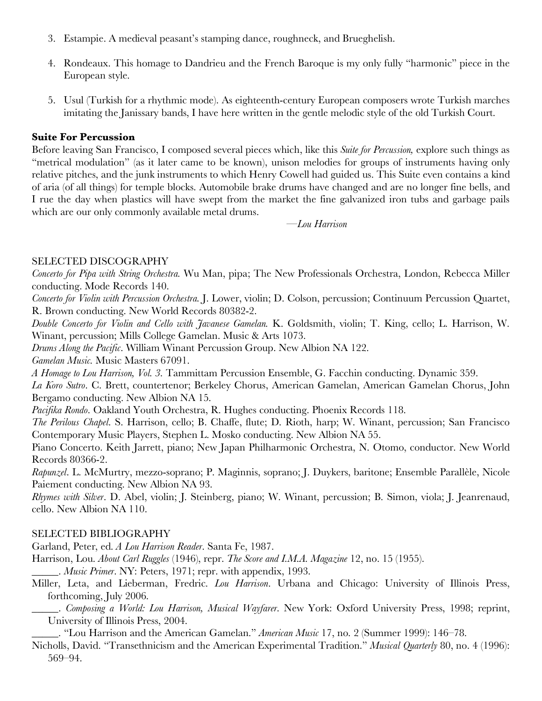- 3. Estampie. A medieval peasant's stamping dance, roughneck, and Brueghelish.
- 4. Rondeaux. This homage to Dandrieu and the French Baroque is my only fully "harmonic" piece in the European style.
- 5. Usul (Turkish for a rhythmic mode). As eighteenth-century European composers wrote Turkish marches imitating the Janissary bands, I have here written in the gentle melodic style of the old Turkish Court.

# **Suite For Percussion**

Before leaving San Francisco, I composed several pieces which, like this *Suite for Percussion,* explore such things as "metrical modulation" (as it later came to be known), unison melodies for groups of instruments having only relative pitches, and the junk instruments to which Henry Cowell had guided us. This Suite even contains a kind of aria (of all things) for temple blocks. Automobile brake drums have changed and are no longer fine bells, and I rue the day when plastics will have swept from the market the fine galvanized iron tubs and garbage pails which are our only commonly available metal drums.

 *—Lou Harrison* 

## SELECTED DISCOGRAPHY

*Concerto for Pipa with String Orchestra.* Wu Man, pipa; The New Professionals Orchestra, London, Rebecca Miller conducting. Mode Records 140.

*Concerto for Violin with Percussion Orchestra.* J. Lower, violin; D. Colson, percussion; Continuum Percussion Quartet, R. Brown conducting. New World Records 80382-2.

*Double Concerto for Violin and Cello with Javanese Gamelan.* K. Goldsmith, violin; T. King, cello; L. Harrison, W. Winant, percussion; Mills College Gamelan. Music & Arts 1073.

*Drums Along the Pacific*. William Winant Percussion Group. New Albion NA 122.

*Gamelan Music.* Music Masters 67091.

*A Homage to Lou Harrison, Vol. 3.* Tammittam Percussion Ensemble, G. Facchin conducting. Dynamic 359.

*La Koro Sutro*. C. Brett, countertenor; Berkeley Chorus, American Gamelan, American Gamelan Chorus, John Bergamo conducting. New Albion NA 15.

*Pacifika Rondo*. Oakland Youth Orchestra, R. Hughes conducting. Phoenix Records 118.

*The Perilous Chapel*. S. Harrison, cello; B. Chaffe, flute; D. Rioth, harp; W. Winant, percussion; San Francisco Contemporary Music Players, Stephen L. Mosko conducting. New Albion NA 55.

Piano Concerto. Keith Jarrett, piano; New Japan Philharmonic Orchestra, N. Otomo, conductor. New World Records 80366-2.

*Rapunzel*. L. McMurtry, mezzo-soprano; P. Maginnis, soprano; J. Duykers, baritone; Ensemble Parallèle, Nicole Paiement conducting. New Albion NA 93.

*Rhymes with Silver*. D. Abel, violin; J. Steinberg, piano; W. Winant, percussion; B. Simon, viola; J. Jeanrenaud, cello. New Albion NA 110.

## SELECTED BIBLIOGRAPHY

Garland, Peter, ed. *A Lou Harrison Reader*. Santa Fe, 1987.

Harrison, Lou. *About Carl Ruggles* (1946), repr. *The Score and I.M.A. Magazine* 12, no. 15 (1955).

\_\_\_\_\_. *Music Primer*. NY: Peters, 1971; repr. with appendix, 1993.

Miller, Leta, and Lieberman, Fredric. *Lou Harrison*. Urbana and Chicago: University of Illinois Press, forthcoming, July 2006.

\_\_\_\_\_. *Composing a World: Lou Harrison, Musical Wayfarer*. New York: Oxford University Press, 1998; reprint, University of Illinois Press, 2004.

\_\_\_\_\_. "Lou Harrison and the American Gamelan." *American Music* 17, no. 2 (Summer 1999): 146–78.

Nicholls, David. "Transethnicism and the American Experimental Tradition." *Musical Quarterly* 80, no. 4 (1996): 569–94.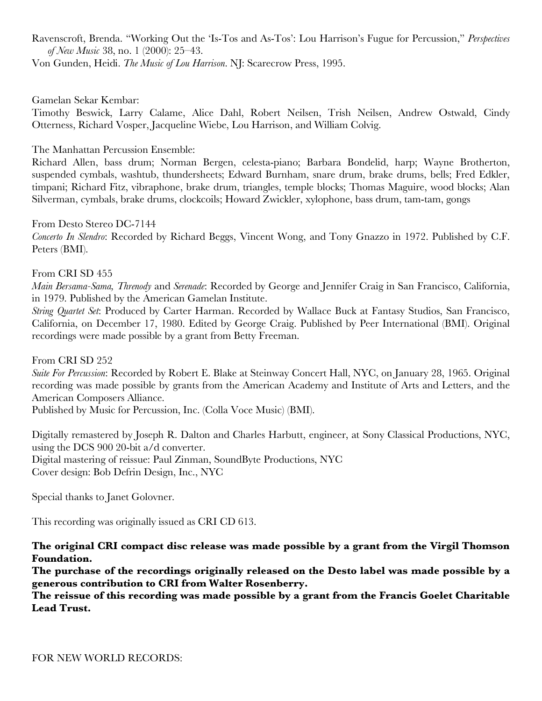Ravenscroft, Brenda. "Working Out the 'Is-Tos and As-Tos': Lou Harrison's Fugue for Percussion," *Perspectives of New Music* 38, no. 1 (2000): 25–43.

Von Gunden, Heidi. *The Music of Lou Harrison*. NJ: Scarecrow Press, 1995.

Gamelan Sekar Kembar:

Timothy Beswick, Larry Calame, Alice Dahl, Robert Neilsen, Trish Neilsen, Andrew Ostwald, Cindy Otterness, Richard Vosper, Jacqueline Wiebe, Lou Harrison, and William Colvig.

The Manhattan Percussion Ensemble:

Richard Allen, bass drum; Norman Bergen, celesta-piano; Barbara Bondelid, harp; Wayne Brotherton, suspended cymbals, washtub, thundersheets; Edward Burnham, snare drum, brake drums, bells; Fred Edkler, timpani; Richard Fitz, vibraphone, brake drum, triangles, temple blocks; Thomas Maguire, wood blocks; Alan Silverman, cymbals, brake drums, clockcoils; Howard Zwickler, xylophone, bass drum, tam-tam, gongs

From Desto Stereo DC-7144 *Concerto In Slendro*: Recorded by Richard Beggs, Vincent Wong, and Tony Gnazzo in 1972. Published by C.F. Peters (BMI).

### From CRI SD 455

*Main Bersama-Sama, Threnody* and *Serenade*: Recorded by George and Jennifer Craig in San Francisco, California, in 1979. Published by the American Gamelan Institute.

*String Quartet Set*: Produced by Carter Harman. Recorded by Wallace Buck at Fantasy Studios, San Francisco, California, on December 17, 1980. Edited by George Craig. Published by Peer International (BMI). Original recordings were made possible by a grant from Betty Freeman.

From CRI SD 252

*Suite For Percussion*: Recorded by Robert E. Blake at Steinway Concert Hall, NYC, on January 28, 1965. Original recording was made possible by grants from the American Academy and Institute of Arts and Letters, and the American Composers Alliance.

Published by Music for Percussion, Inc. (Colla Voce Music) (BMI).

Digitally remastered by Joseph R. Dalton and Charles Harbutt, engineer, at Sony Classical Productions, NYC, using the DCS 900 20-bit a/d converter.

Digital mastering of reissue: Paul Zinman, SoundByte Productions, NYC Cover design: Bob Defrin Design, Inc., NYC

Special thanks to Janet Golovner.

This recording was originally issued as CRI CD 613.

**The original CRI compact disc release was made possible by a grant from the Virgil Thomson Foundation.** 

**The purchase of the recordings originally released on the Desto label was made possible by a generous contribution to CRI from Walter Rosenberry.** 

**The reissue of this recording was made possible by a grant from the Francis Goelet Charitable Lead Trust.**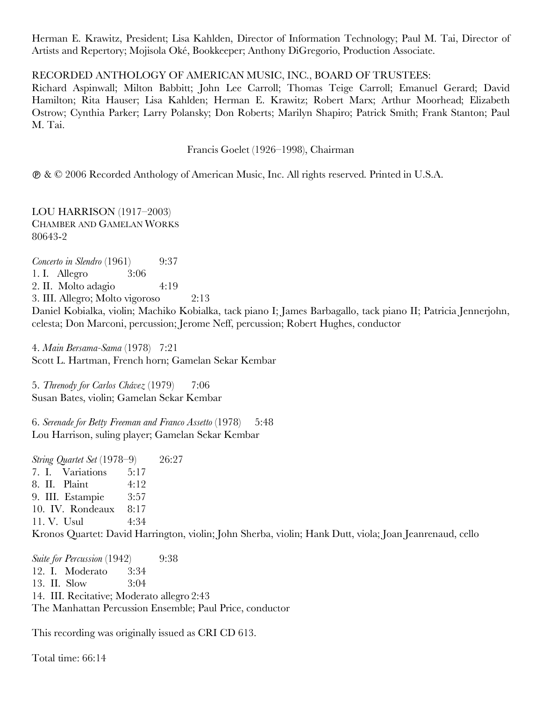Herman E. Krawitz, President; Lisa Kahlden, Director of Information Technology; Paul M. Tai, Director of Artists and Repertory; Mojisola Oké, Bookkeeper; Anthony DiGregorio, Production Associate.

## RECORDED ANTHOLOGY OF AMERICAN MUSIC, INC., BOARD OF TRUSTEES:

Richard Aspinwall; Milton Babbitt; John Lee Carroll; Thomas Teige Carroll; Emanuel Gerard; David Hamilton; Rita Hauser; Lisa Kahlden; Herman E. Krawitz; Robert Marx; Arthur Moorhead; Elizabeth Ostrow; Cynthia Parker; Larry Polansky; Don Roberts; Marilyn Shapiro; Patrick Smith; Frank Stanton; Paul M. Tai.

Francis Goelet (1926–1998), Chairman

& © 2006 Recorded Anthology of American Music, Inc. All rights reserved. Printed in U.S.A.

LOU HARRISON (1917–2003) CHAMBER AND GAMELAN WORKS 80643-2

*Concerto in Slendro* (1961) 9:37 1. I. Allegro 3:06 2. II. Molto adagio 4:19 3. III. Allegro; Molto vigoroso 2:13 Daniel Kobialka, violin; Machiko Kobialka, tack piano I; James Barbagallo, tack piano II; Patricia Jennerjohn, celesta; Don Marconi, percussion; Jerome Neff, percussion; Robert Hughes, conductor

4. *Main Bersama-Sama* (1978) 7:21 Scott L. Hartman, French horn; Gamelan Sekar Kembar

5. *Threnody for Carlos Chávez* (1979) 7:06 Susan Bates, violin; Gamelan Sekar Kembar

6. *Serenade for Betty Freeman and Franco Assetto* (1978) 5:48 Lou Harrison, suling player; Gamelan Sekar Kembar

*String Quartet Set* (1978–9) 26:27 7. I. Variations 5:17 8. II. Plaint 4:12 9. III. Estampie 3:57 10. IV. Rondeaux 8:17 11. V. Usul 4:34 Kronos Quartet: David Harrington, violin; John Sherba, violin; Hank Dutt, viola; Joan Jeanrenaud, cello

*Suite for Percussion* (1942) 9:38 12. I. Moderato 3:34 13. II. Slow 3:04 14. III. Recitative; Moderato allegro 2:43 The Manhattan Percussion Ensemble; Paul Price, conductor

This recording was originally issued as CRI CD 613.

Total time: 66:14